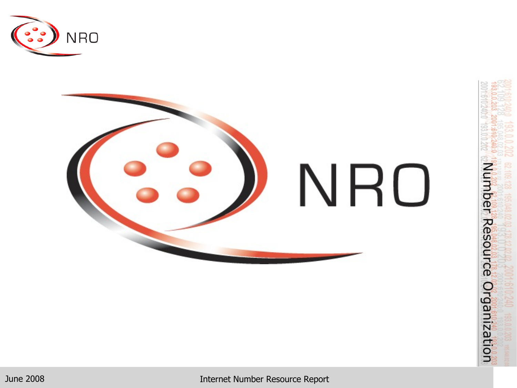

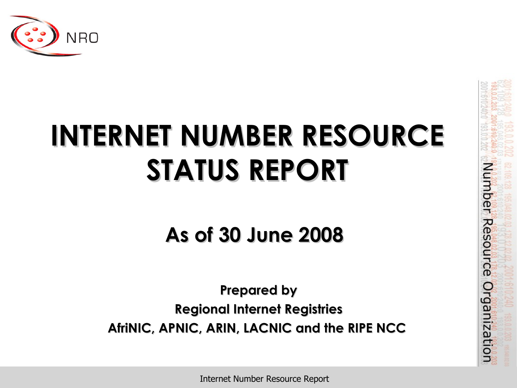

# **INTERNET NUMBER RESOURCE STATUS REPORT**

**As of 30 June 2008**

**Prepared by Regional Internet Registries AfriNIC, APNIC, ARIN, LACNIC and the RIPE NCC** Number Resource Organization

Internet Number Resource Report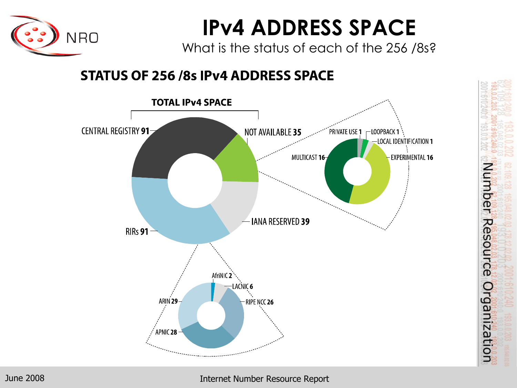

### **IPv4 ADDRESS SPACE**

What is the status of each of the 256 /8s?

#### **STATUS OF 256/8s IPv4 ADDRESS SPACE**



Number Resource Organization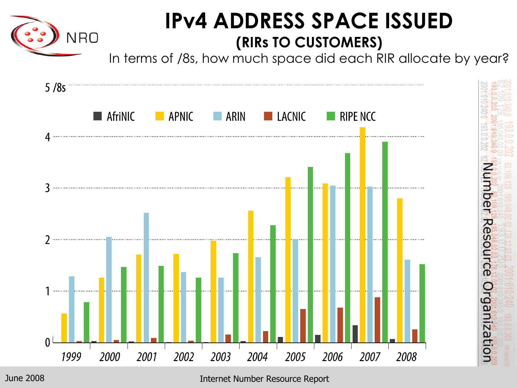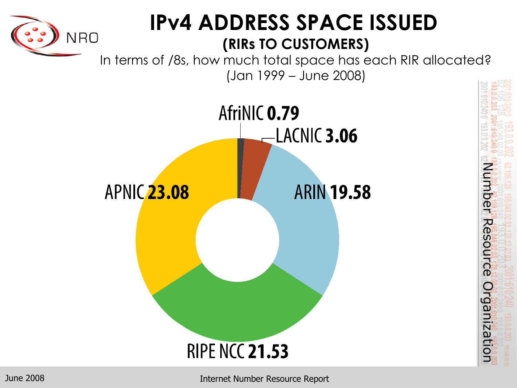

#### **IPv4 ADDRESS SPACE ISSUED (RIRs TO CUSTOMERS)**

In terms of /8s, how much total space has each RIR allocated? (Jan 1999 – June 2008)



Number Resource Organization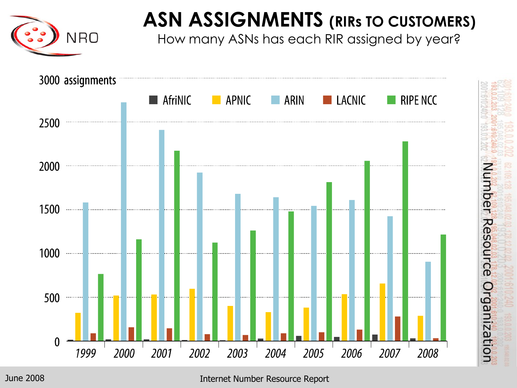

#### **ASN ASSIGNMENTS (RIRs TO CUSTOMERS)**

How many ASNs has each RIR assigned by year?

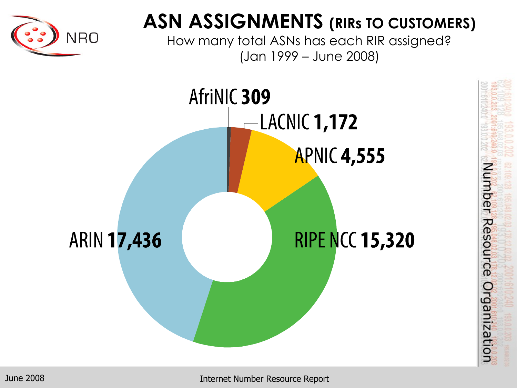

#### **ASN ASSIGNMENTS (RIRs TO CUSTOMERS)**

How many total ASNs has each RIR assigned? (Jan 1999 – June 2008)

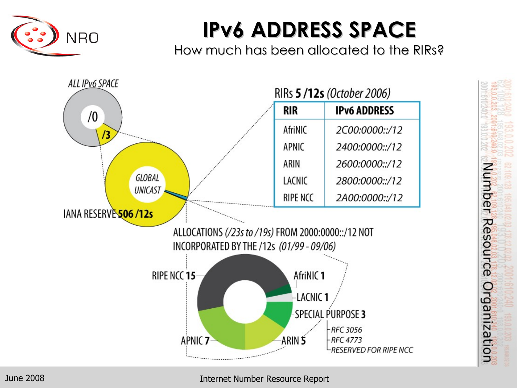

### **IPv6 ADDRESS SPACE**

How much has been allocated to the RIRs?

Number Resource

Organization

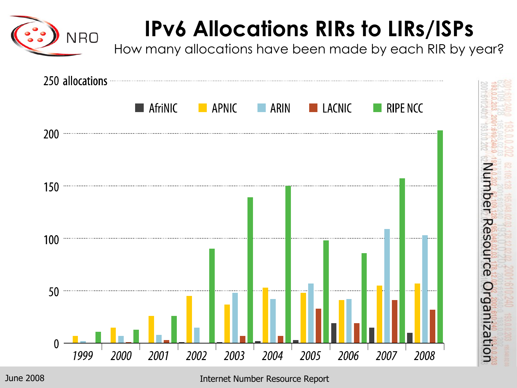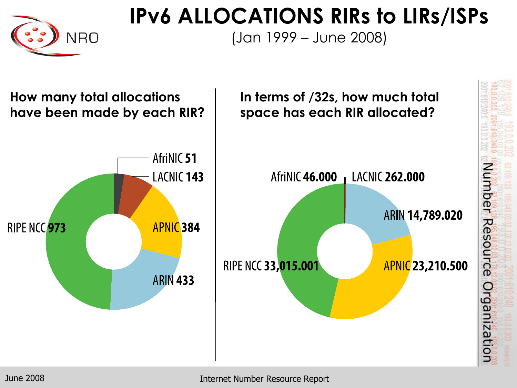

#### **IPv6 ALLOCATIONS RIRs to LIRs/ISPs**

(Jan 1999 – June 2008)

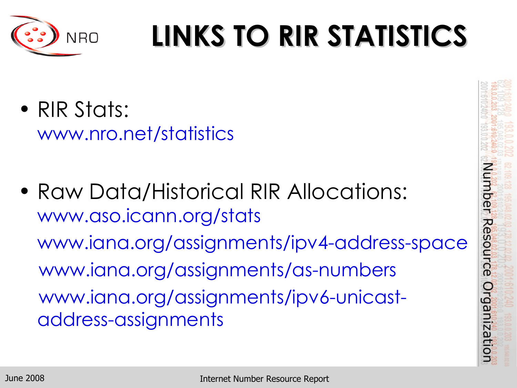

# **LINKS TO RIR STATISTICS**

- RIR Stats: www.nro.net/statistics
- Raw Data/Historical RIR Allocations: www.aso.icann.org/stats www.iana.org/assignments/ipv4-address-space www.iana.org/assignments/as-numbers www.iana.org/assignments/ipv6-unicastaddress-assignments